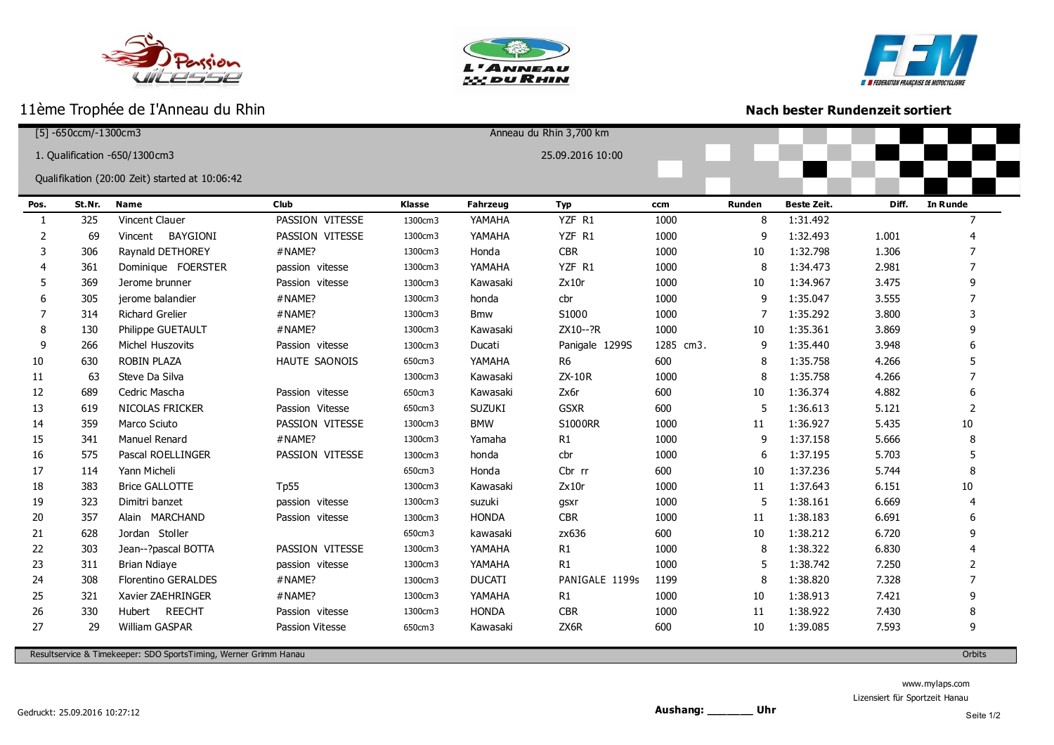







ı

## **Nach bester Rundenzeit sortiert**

| $[5] - 650$ ccm/-1300cm3 |        |                                                |                 | Anneau du Rhin 3,700 km |                 |                |           |        |                    |       |                 |
|--------------------------|--------|------------------------------------------------|-----------------|-------------------------|-----------------|----------------|-----------|--------|--------------------|-------|-----------------|
|                          |        | 1. Qualification -650/1300cm3                  |                 | 25.09.2016 10:00        |                 |                |           |        |                    |       |                 |
|                          |        |                                                |                 |                         |                 |                |           |        |                    |       |                 |
|                          |        | Qualifikation (20:00 Zeit) started at 10:06:42 |                 |                         |                 |                |           |        |                    |       |                 |
| Pos.                     | St.Nr. | <b>Name</b>                                    | <b>Club</b>     | Klasse                  | <b>Fahrzeug</b> | <b>Typ</b>     | ccm       | Runden | <b>Beste Zeit.</b> | Diff. | <b>In Runde</b> |
| 1                        | 325    | Vincent Clauer                                 | PASSION VITESSE | 1300cm3                 | YAMAHA          | YZF R1         | 1000      | 8      | 1:31.492           |       | 7               |
| 2                        | 69     | BAYGIONI<br>Vincent                            | PASSION VITESSE | 1300cm3                 | YAMAHA          | YZF R1         | 1000      | 9      | 1:32.493           | 1.001 |                 |
| 3                        | 306    | Raynald DETHOREY                               | #NAME?          | 1300cm3                 | Honda           | <b>CBR</b>     | 1000      | $10\,$ | 1:32.798           | 1.306 |                 |
|                          | 361    | Dominique FOERSTER                             | passion vitesse | 1300cm3                 | YAMAHA          | YZF R1         | 1000      | 8      | 1:34.473           | 2.981 |                 |
| 5                        | 369    | Jerome brunner                                 | Passion vitesse | 1300cm3                 | Kawasaki        | Zx10r          | 1000      | 10     | 1:34.967           | 3.475 |                 |
| 6                        | 305    | jerome balandier                               | #NAME?          | 1300cm3                 | honda           | cbr            | 1000      | 9      | 1:35.047           | 3.555 |                 |
| 7                        | 314    | <b>Richard Grelier</b>                         | #NAME?          | 1300cm3                 | <b>Bmw</b>      | S1000          | 1000      | 7      | 1:35.292           | 3.800 | 3               |
| 8                        | 130    | Philippe GUETAULT                              | #NAME?          | 1300cm3                 | Kawasaki        | ZX10--?R       | 1000      | 10     | 1:35.361           | 3.869 | 9               |
| 9                        | 266    | Michel Huszovits                               | Passion vitesse | 1300cm3                 | Ducati          | Panigale 1299S | 1285 cm3. | 9      | 1:35.440           | 3.948 |                 |
| 10                       | 630    | ROBIN PLAZA                                    | HAUTE SAONOIS   | 650cm3                  | YAMAHA          | R <sub>6</sub> | 600       | 8      | 1:35.758           | 4.266 |                 |
| 11                       | 63     | Steve Da Silva                                 |                 | 1300cm3                 | Kawasaki        | ZX-10R         | 1000      | 8      | 1:35.758           | 4.266 | 7               |
| 12                       | 689    | Cedric Mascha                                  | Passion vitesse | 650cm3                  | Kawasaki        | Zx6r           | 600       | $10\,$ | 1:36.374           | 4.882 |                 |
| 13                       | 619    | NICOLAS FRICKER                                | Passion Vitesse | 650cm3                  | <b>SUZUKI</b>   | <b>GSXR</b>    | 600       | 5      | 1:36.613           | 5.121 | 2               |
| 14                       | 359    | Marco Sciuto                                   | PASSION VITESSE | 1300cm3                 | <b>BMW</b>      | <b>S1000RR</b> | 1000      | 11     | 1:36.927           | 5.435 | 10              |
| 15                       | 341    | Manuel Renard                                  | #NAME?          | 1300cm3                 | Yamaha          | R1             | 1000      | 9      | 1:37.158           | 5.666 | 8               |
| 16                       | 575    | Pascal ROELLINGER                              | PASSION VITESSE | 1300cm3                 | honda           | cbr            | 1000      | 6      | 1:37.195           | 5.703 |                 |
| 17                       | 114    | Yann Micheli                                   |                 | 650cm3                  | Honda           | Cbr rr         | 600       | 10     | 1:37.236           | 5.744 | 8               |
| 18                       | 383    | <b>Brice GALLOTTE</b>                          | Tp55            | 1300cm3                 | Kawasaki        | Zx10r          | 1000      | 11     | 1:37.643           | 6.151 | 10              |
| 19                       | 323    | Dimitri banzet                                 | passion vitesse | 1300cm3                 | suzuki          | gsxr           | 1000      | 5      | 1:38.161           | 6.669 | 4               |
| 20                       | 357    | Alain MARCHAND                                 | Passion vitesse | 1300cm3                 | <b>HONDA</b>    | <b>CBR</b>     | 1000      | 11     | 1:38.183           | 6.691 |                 |
| 21                       | 628    | Jordan Stoller                                 |                 | 650cm3                  | kawasaki        | zx636          | 600       | 10     | 1:38.212           | 6.720 |                 |
| 22                       | 303    | Jean--?pascal BOTTA                            | PASSION VITESSE | 1300cm3                 | YAMAHA          | R1             | 1000      | 8      | 1:38.322           | 6.830 |                 |
| 23                       | 311    | <b>Brian Ndiaye</b>                            | passion vitesse | 1300cm3                 | YAMAHA          | R1             | 1000      | 5      | 1:38.742           | 7.250 | 2               |
| 24                       | 308    | <b>Florentino GERALDES</b>                     | #NAME?          | 1300cm3                 | <b>DUCATI</b>   | PANIGALE 1199s | 1199      | 8      | 1:38.820           | 7.328 | 7               |
| 25                       | 321    | Xavier ZAEHRINGER                              | #NAME?          | 1300cm3                 | YAMAHA          | R1             | 1000      | 10     | 1:38.913           | 7.421 | 9               |
| 26                       | 330    | Hubert REECHT                                  | Passion vitesse | 1300cm3                 | <b>HONDA</b>    | <b>CBR</b>     | 1000      | 11     | 1:38.922           | 7.430 | 8               |
| 27                       | 29     | William GASPAR                                 | Passion Vitesse | 650cm3                  | Kawasaki        | ZX6R           | 600       | 10     | 1:39.085           | 7.593 | 9               |
|                          |        |                                                |                 |                         |                 |                |           |        |                    |       |                 |

Resultservice & Timekeeper: SDO SportsTiming, Werner Grimm Hanau Orbits